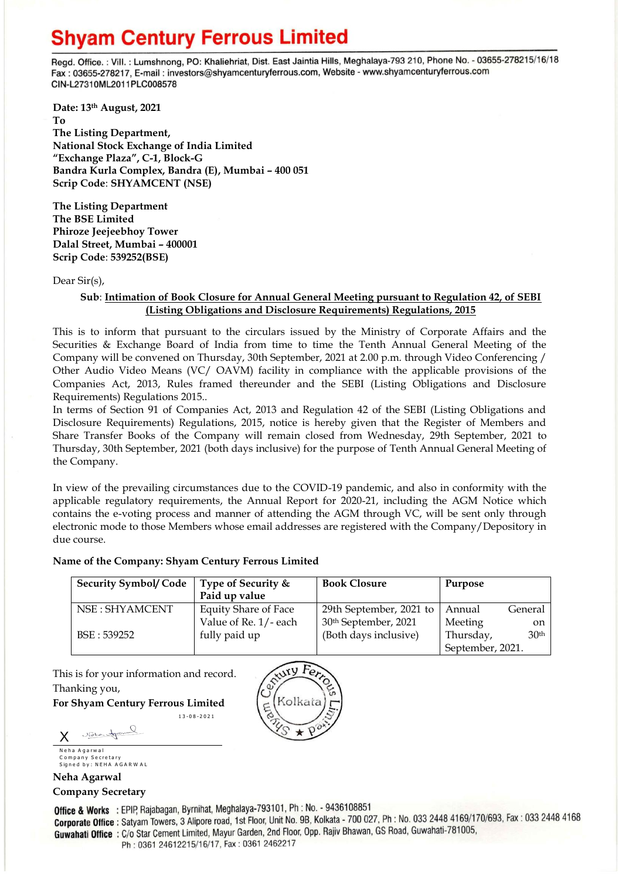# **Shyam Century Ferrous Limited**

Regd. Office.: Vill.: Lumshnong, PO: Khaliehriat, Dist. East Jaintia Hills, Meghalaya-793 210, Phone No. - 03655-278215/16/18 Fax: 03655-278217, E-mail: investors@shyamcenturyferrous.com, Website - www.shyamcenturyferrous.com CIN-L27310ML2011PLC008578

**Date: 13 th August, 2021 To The Listing Department, National Stock Exchange of India Limited "Exchange Plaza", C-1, Block-G Bandra Kurla Complex, Bandra (E), Mumbai – 400 051 Scrip Code**: **SHYAMCENT (NSE)**

**The Listing Department The BSE Limited Phiroze Jeejeebhoy Tower Dalal Street, Mumbai – 400001 Scrip Code**: **539252(BSE)**

Dear Sir(s),

## **Sub**: **Intimation of Book Closure for Annual General Meeting pursuant to Regulation 42, of SEBI (Listing Obligations and Disclosure Requirements) Regulations, 2015**

This is to inform that pursuant to the circulars issued by the Ministry of Corporate Affairs and the Securities & Exchange Board of India from time to time the Tenth Annual General Meeting of the Company will be convened on Thursday, 30th September, 2021 at 2.00 p.m. through Video Conferencing / Other Audio Video Means (VC/ OAVM) facility in compliance with the applicable provisions of the Companies Act, 2013, Rules framed thereunder and the SEBI (Listing Obligations and Disclosure Requirements) Regulations 2015..

In terms of Section 91 of Companies Act, 2013 and Regulation 42 of the SEBI (Listing Obligations and Disclosure Requirements) Regulations, 2015, notice is hereby given that the Register of Members and Share Transfer Books of the Company will remain closed from Wednesday, 29th September, 2021 to Thursday, 30th September, 2021 (both days inclusive) for the purpose of Tenth Annual General Meeting of the Company.

In view of the prevailing circumstances due to the COVID-19 pandemic, and also in conformity with the applicable regulatory requirements, the Annual Report for 2020-21, including the AGM Notice which contains the e-voting process and manner of attending the AGM through VC, will be sent only through electronic mode to those Members whose email addresses are registered with the Company/Depository in due course.

### **Name of the Company: Shyam Century Ferrous Limited**

1 3 - 0 8 - 2 0 2 1

| <b>Security Symbol/ Code</b> | Type of Security &<br>Paid up value | <b>Book Closure</b>              | Purpose          |                  |
|------------------------------|-------------------------------------|----------------------------------|------------------|------------------|
| NSE : SHYAMCENT              | <b>Equity Share of Face</b>         | 29th September, 2021 to          | Annual           | General          |
|                              | Value of Re. 1/- each               | 30 <sup>th</sup> September, 2021 | Meeting          | <sub>on</sub>    |
| BSE: 539252                  | fully paid up                       | (Both days inclusive)            | Thursday,        | 30 <sup>th</sup> |
|                              |                                     |                                  | September, 2021. |                  |

This is for your information and record. Thanking you,

**For Shyam Century Ferrous Limited**

Nele tr X Neha Agarwal

Company Secretary Signed by: NEHA AGARWAL

# **Neha Agarwal Company Secretary**

Office & Works : EPIP, Rajabagan, Byrnihat, Meghalaya-793101, Ph : No. - 9436108851 **Corporate Office :** Satyam Towers, 3 Alipore road, 1st Floor, Unit No. 9B, Kolkata - 700 027, Ph : No. 033 2448 4169/170/693, Fax : 033 2448 4168 Guwahati Office: C/o Star Cement Limited, Mayur Garden, 2nd Floor, Opp. Rajiv Bhawan, GS Road, Guwahati-781005, Ph: 0361 24612215/16/17, Fax: 0361 2462217